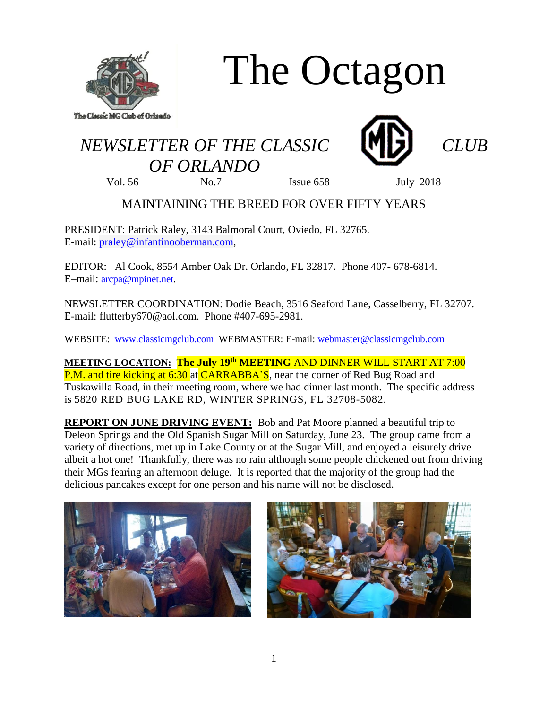

# The Octagon

# *NEWSLETTER OF THE CLASSIC CLUB OF ORLANDO*





Vol. 56 No.7 Issue 658 July 2018

## MAINTAINING THE BREED FOR OVER FIFTY YEARS

PRESIDENT: Patrick Raley, 3143 Balmoral Court, Oviedo, FL 32765. E-mail: [praley@infantinooberman.com,](mailto:praley@infantinooberman.com)

EDITOR: Al Cook, 8554 Amber Oak Dr. Orlando, FL 32817. Phone 407- 678-6814. E–mail: [arcpa@mpinet.net](mailto:arcpa@mpinet.net).

NEWSLETTER COORDINATION: Dodie Beach, 3516 Seaford Lane, Casselberry, FL 32707. E-mail: flutterby670@aol.com. Phone #407-695-2981.

WEBSITE: [www.classicmgclub.com](http://www.classicmgclub.com/) WEBMASTER: E-mail: [webmaster@classicmgclub.com](mailto:webmaster@classicmgclub.com)

**MEETING LOCATION: The July 19th MEETING** AND DINNER WILL START AT 7:00 P.M. and tire kicking at 6:30 at CARRABBA'S, near the corner of Red Bug Road and Tuskawilla Road, in their meeting room, where we had dinner last month. The specific address is 5820 RED BUG LAKE RD, WINTER SPRINGS, FL 32708-5082.

**REPORT ON JUNE DRIVING EVENT:** Bob and Pat Moore planned a beautiful trip to Deleon Springs and the Old Spanish Sugar Mill on Saturday, June 23. The group came from a variety of directions, met up in Lake County or at the Sugar Mill, and enjoyed a leisurely drive albeit a hot one! Thankfully, there was no rain although some people chickened out from driving their MGs fearing an afternoon deluge. It is reported that the majority of the group had the delicious pancakes except for one person and his name will not be disclosed.



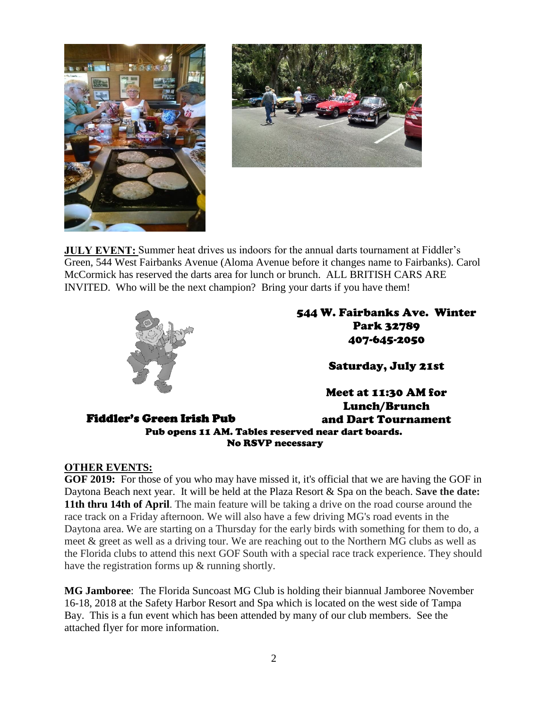



**JULY EVENT:** Summer heat drives us indoors for the annual darts tournament at Fiddler's Green, 544 West Fairbanks Avenue (Aloma Avenue before it changes name to Fairbanks). Carol McCormick has reserved the darts area for lunch or brunch. ALL BRITISH CARS ARE INVITED. Who will be the next champion? Bring your darts if you have them!



544 W. Fairbanks Ave. Winter Park 32789 407-645-2050

Saturday, July 21st

Fiddler's Green Irish Pub Meet at 11:30 AM for Lunch/Brunch and Dart Tournament Pub opens 11 AM. Tables reserved near dart boards. No RSVP necessary

#### **OTHER EVENTS:**

**GOF 2019:** For those of you who may have missed it, it's official that we are having the GOF in Daytona Beach next year. It will be held at the Plaza Resort & Spa on the beach. **Save the date: 11th thru 14th of April**. The main feature will be taking a drive on the road course around the race track on a Friday afternoon. We will also have a few driving MG's road events in the Daytona area. We are starting on a Thursday for the early birds with something for them to do, a meet & greet as well as a driving tour. We are reaching out to the Northern MG clubs as well as the Florida clubs to attend this next GOF South with a special race track experience. They should have the registration forms up & running shortly.

**MG Jamboree**: The Florida Suncoast MG Club is holding their biannual Jamboree November 16-18, 2018 at the Safety Harbor Resort and Spa which is located on the west side of Tampa Bay. This is a fun event which has been attended by many of our club members. See the attached flyer for more information.